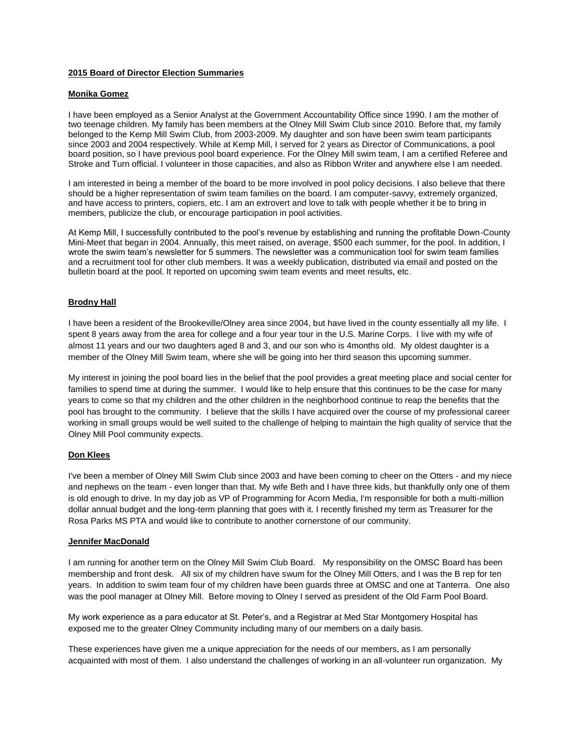# **2015 Board of Director Election Summaries**

# **Monika Gomez**

I have been employed as a Senior Analyst at the Government Accountability Office since 1990. I am the mother of two teenage children. My family has been members at the Olney Mill Swim Club since 2010. Before that, my family belonged to the Kemp Mill Swim Club, from 2003-2009. My daughter and son have been swim team participants since 2003 and 2004 respectively. While at Kemp Mill, I served for 2 years as Director of Communications, a pool board position, so I have previous pool board experience. For the Olney Mill swim team, I am a certified Referee and Stroke and Turn official. I volunteer in those capacities, and also as Ribbon Writer and anywhere else I am needed.

I am interested in being a member of the board to be more involved in pool policy decisions. I also believe that there should be a higher representation of swim team families on the board. I am computer-savvy, extremely organized, and have access to printers, copiers, etc. I am an extrovert and love to talk with people whether it be to bring in members, publicize the club, or encourage participation in pool activities.

At Kemp Mill, I successfully contributed to the pool's revenue by establishing and running the profitable Down-County Mini-Meet that began in 2004. Annually, this meet raised, on average, \$500 each summer, for the pool. In addition, I wrote the swim team's newsletter for 5 summers. The newsletter was a communication tool for swim team families and a recruitment tool for other club members. It was a weekly publication, distributed via email and posted on the bulletin board at the pool. It reported on upcoming swim team events and meet results, etc.

### **Brodny Hall**

I have been a resident of the Brookeville/Olney area since 2004, but have lived in the county essentially all my life. I spent 8 years away from the area for college and a four year tour in the U.S. Marine Corps. I live with my wife of almost 11 years and our two daughters aged 8 and 3, and our son who is 4months old. My oldest daughter is a member of the Olney Mill Swim team, where she will be going into her third season this upcoming summer.

My interest in joining the pool board lies in the belief that the pool provides a great meeting place and social center for families to spend time at during the summer. I would like to help ensure that this continues to be the case for many years to come so that my children and the other children in the neighborhood continue to reap the benefits that the pool has brought to the community. I believe that the skills I have acquired over the course of my professional career working in small groups would be well suited to the challenge of helping to maintain the high quality of service that the Olney Mill Pool community expects.

### **Don Klees**

I've been a member of Olney Mill Swim Club since 2003 and have been coming to cheer on the Otters - and my niece and nephews on the team - even longer than that. My wife Beth and I have three kids, but thankfully only one of them is old enough to drive. In my day job as VP of Programming for Acorn Media, I'm responsible for both a multi-million dollar annual budget and the long-term planning that goes with it. I recently finished my term as Treasurer for the Rosa Parks MS PTA and would like to contribute to another cornerstone of our community.

### **Jennifer MacDonald**

I am running for another term on the Olney Mill Swim Club Board. My responsibility on the OMSC Board has been membership and front desk. All six of my children have swum for the Olney Mill Otters, and I was the B rep for ten years. In addition to swim team four of my children have been guards three at OMSC and one at Tanterra. One also was the pool manager at Olney Mill. Before moving to Olney I served as president of the Old Farm Pool Board.

My work experience as a para educator at St. Peter's, and a Registrar at Med Star Montgomery Hospital has exposed me to the greater Olney Community including many of our members on a daily basis.

These experiences have given me a unique appreciation for the needs of our members, as I am personally acquainted with most of them. I also understand the challenges of working in an all-volunteer run organization. My